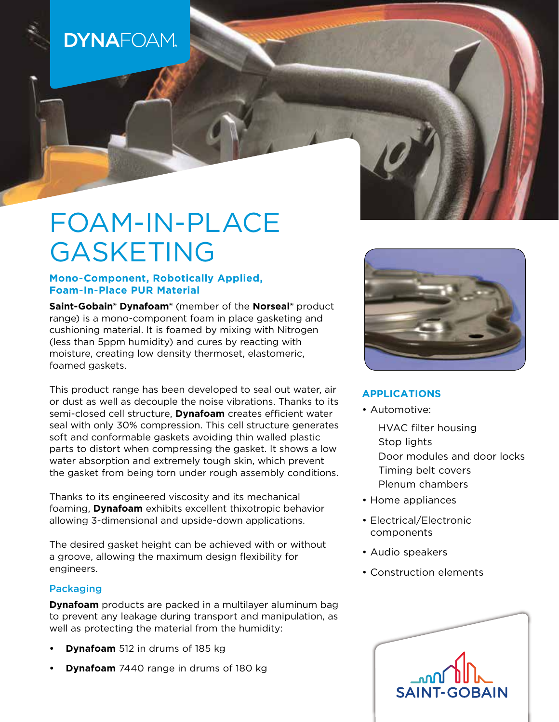# **DYNAFOAM**

# FOAM-IN-PLACE GASKETING

# **Mono-Component, Robotically Applied, Foam-In-Place PUR Material**

**Saint-Gobain® Dynafoam®** (member of the **Norseal®** product range) is a mono-component foam in place gasketing and cushioning material. It is foamed by mixing with Nitrogen (less than 5ppm humidity) and cures by reacting with moisture, creating low density thermoset, elastomeric, foamed gaskets.

This product range has been developed to seal out water, air or dust as well as decouple the noise vibrations. Thanks to its semi-closed cell structure, **Dynafoam** creates efficient water seal with only 30% compression. This cell structure generates soft and conformable gaskets avoiding thin walled plastic parts to distort when compressing the gasket. It shows a low water absorption and extremely tough skin, which prevent the gasket from being torn under rough assembly conditions.

Thanks to its engineered viscosity and its mechanical foaming, **Dynafoam** exhibits excellent thixotropic behavior allowing 3-dimensional and upside-down applications.

The desired gasket height can be achieved with or without a groove, allowing the maximum design flexibility for engineers.

# Packaging

**Dynafoam** products are packed in a multilayer aluminum bag to prevent any leakage during transport and manipulation, as well as protecting the material from the humidity:

- **• Dynafoam** 512 in drums of 185 kg
- **• Dynafoam** 7440 range in drums of 180 kg



# **APPLICATIONS**

- Automotive:
	- HVAC filter housing Stop lights Door modules and door locks Timing belt covers Plenum chambers
- Home appliances
- Electrical/Electronic components
- Audio speakers
- Construction elements